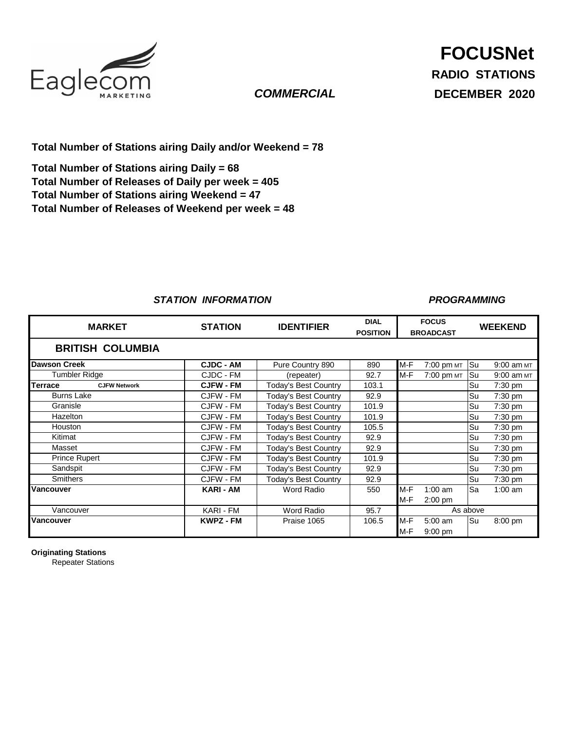

## *COMMERCIAL*

**Total Number of Stations airing Daily and/or Weekend = 78**

**Total Number of Releases of Daily per week = 405 Total Number of Stations airing Weekend = 47 Total Number of Releases of Weekend per week = 48 Total Number of Stations airing Daily = 68**

### *STATION INFORMATION*

#### *PROGRAMMING*

| <b>MARKET</b>                  | <b>STATION</b>   | <b>IDENTIFIER</b>           | <b>DIAL</b><br><b>POSITION</b> | <b>FOCUS</b><br><b>BROADCAST</b> |                   | <b>WEEKEND</b> |            |
|--------------------------------|------------------|-----------------------------|--------------------------------|----------------------------------|-------------------|----------------|------------|
| <b>BRITISH COLUMBIA</b>        |                  |                             |                                |                                  |                   |                |            |
| <b>Dawson Creek</b>            | <b>CJDC - AM</b> | Pure Country 890            | 890                            | M-F                              | 7:00 pm MT        | Su             | 9:00 am MT |
| <b>Tumbler Ridge</b>           | CJDC - FM        | (repeater)                  | 92.7                           | $M-F$                            | 7:00 pm MT        | Su             | 9:00 am MT |
| Terrace<br><b>CJFW Network</b> | <b>CJFW - FM</b> | <b>Today's Best Country</b> | 103.1                          |                                  |                   | Su             | 7:30 pm    |
| <b>Burns Lake</b>              | CJFW - FM        | <b>Today's Best Country</b> | 92.9                           |                                  |                   | <b>Su</b>      | $7:30$ pm  |
| Granisle                       | CJFW - FM        | <b>Today's Best Country</b> | 101.9                          |                                  |                   | Su             | 7:30 pm    |
| <b>Hazelton</b>                | CJFW - FM        | <b>Today's Best Country</b> | 101.9                          |                                  |                   | Su             | $7:30$ pm  |
| Houston                        | CJFW - FM        | <b>Today's Best Country</b> | 105.5                          |                                  |                   | lSu            | 7:30 pm    |
| Kitimat                        | CJFW - FM        | <b>Today's Best Country</b> | 92.9                           |                                  |                   | Su             | $7:30$ pm  |
| Masset                         | CJFW - FM        | Today's Best Country        | 92.9                           |                                  |                   | lSu            | 7:30 pm    |
| <b>Prince Rupert</b>           | CJFW - FM        | <b>Today's Best Country</b> | 101.9                          |                                  |                   | <b>Su</b>      | $7:30$ pm  |
| Sandspit                       | CJFW - FM        | <b>Today's Best Country</b> | 92.9                           |                                  |                   | lSu            | 7:30 pm    |
| <b>Smithers</b>                | CJFW - FM        | <b>Today's Best Country</b> | 92.9                           |                                  |                   | Su             | $7:30$ pm  |
| Vancouver                      | KARI - AM        | Word Radio                  | 550                            | M-F                              | $1:00$ am         | Sa             | $1:00$ am  |
|                                |                  |                             |                                | $M-F$                            | $2:00$ pm         |                |            |
| Vancouver                      | <b>KARI - FM</b> | <b>Word Radio</b>           | 95.7                           | As above                         |                   |                |            |
| Vancouver                      | <b>KWPZ - FM</b> | Praise 1065                 | 106.5                          | $M-F$                            | $5:00 \text{ am}$ | <b>Su</b>      | $8:00$ pm  |
|                                |                  |                             |                                | $M-F$                            | $9:00$ pm         |                |            |

**Originating Stations**

Repeater Stations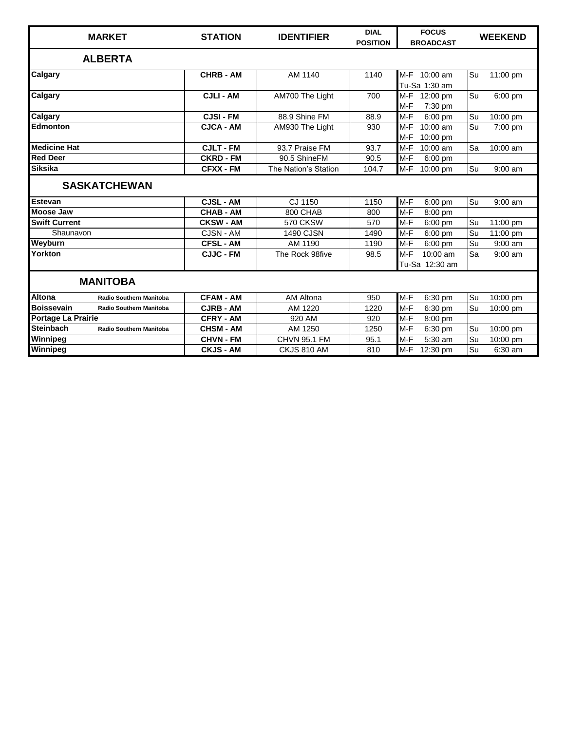| <b>MARKET</b>                                   | <b>STATION</b>   | <b>IDENTIFIER</b>    | <b>DIAL</b><br><b>POSITION</b> | <b>FOCUS</b><br><b>BROADCAST</b>    | <b>WEEKEND</b>  |  |
|-------------------------------------------------|------------------|----------------------|--------------------------------|-------------------------------------|-----------------|--|
| <b>ALBERTA</b>                                  |                  |                      |                                |                                     |                 |  |
| Calgary                                         | <b>CHRB - AM</b> | AM 1140              | 1140                           | M-F 10:00 am<br>Tu-Sa 1:30 am       | Su<br>11:00 pm  |  |
| Calgary                                         | <b>CJLI - AM</b> | AM700 The Light      | 700                            | M-F 12:00 pm<br>M-F<br>7:30 pm      | Su<br>6:00 pm   |  |
| Calgary                                         | <b>CJSI-FM</b>   | 88.9 Shine FM        | 88.9                           | $M-F$<br>$6:00$ pm                  | Su<br>10:00 pm  |  |
| <b>Edmonton</b>                                 | <b>CJCA - AM</b> | AM930 The Light      | 930                            | M-F<br>10:00 am<br>M-F<br>10:00 pm  | Su<br>7:00 pm   |  |
| <b>Medicine Hat</b>                             | <b>CJLT - FM</b> | 93.7 Praise FM       | 93.7                           | $M-F$<br>10:00 am                   | Sa<br>10:00 am  |  |
| <b>Red Deer</b>                                 | <b>CKRD - FM</b> | 90.5 ShineFM         | 90.5                           | $M-F$<br>$6:00$ pm                  |                 |  |
| <b>Siksika</b>                                  | <b>CFXX - FM</b> | The Nation's Station | 104.7                          | M-F<br>10:00 pm                     | Su<br>$9:00$ am |  |
| <b>SASKATCHEWAN</b>                             |                  |                      |                                |                                     |                 |  |
| <b>Estevan</b>                                  | <b>CJSL - AM</b> | CJ 1150              | 1150                           | $M-F$<br>$6:00$ pm                  | Su<br>$9:00$ am |  |
| <b>Moose Jaw</b>                                | <b>CHAB - AM</b> | 800 CHAB             | 800                            | $M-F$<br>8:00 pm                    |                 |  |
| <b>Swift Current</b>                            | <b>CKSW - AM</b> | 570 CKSW             | 570                            | $M-F$<br>$6:00$ pm                  | Su<br>11:00 pm  |  |
| Shaunavon                                       | CJSN - AM        | <b>1490 CJSN</b>     | 1490                           | M-F<br>$6:00$ pm                    | Su<br>11:00 pm  |  |
| Weyburn                                         | <b>CFSL - AM</b> | AM 1190              | 1190                           | $M-F$<br>6:00 pm                    | Su<br>$9:00$ am |  |
| Yorkton                                         | <b>CJJC - FM</b> | The Rock 98five      | 98.5                           | $M-F$<br>10:00 am<br>Tu-Sa 12:30 am | Sa<br>9:00 am   |  |
| <b>MANITOBA</b>                                 |                  |                      |                                |                                     |                 |  |
| <b>Altona</b><br><b>Radio Southern Manitoba</b> | <b>CFAM - AM</b> | AM Altona            | 950                            | M-F<br>6:30 pm                      | 10:00 pm<br>Su  |  |
| <b>Boissevain</b><br>Radio Southern Manitoba    | <b>CJRB - AM</b> | AM 1220              | 1220                           | $M-F$<br>6:30 pm                    | Su<br>10:00 pm  |  |
| Portage La Prairie                              | <b>CFRY - AM</b> | 920 AM               | 920                            | $M-F$<br>8:00 pm                    |                 |  |
| <b>Steinbach</b><br>Radio Southern Manitoba     | <b>CHSM - AM</b> | AM 1250              | 1250                           | M-F<br>6:30 pm                      | Su<br>10:00 pm  |  |
| Winnipeg                                        | <b>CHVN - FM</b> | <b>CHVN 95.1 FM</b>  | 95.1                           | $M-F$<br>5:30 am                    | Su<br>10:00 pm  |  |
| Winnipeg                                        | <b>CKJS - AM</b> | CKJS 810 AM          | 810                            | M-F<br>12:30 pm                     | Su<br>$6:30$ am |  |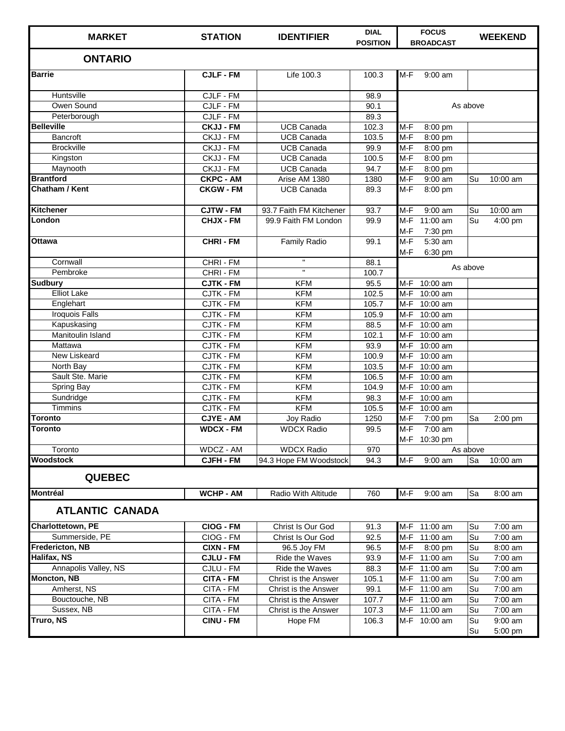| <b>MARKET</b>            | <b>STATION</b>   | <b>IDENTIFIER</b>       | <b>DIAL</b><br><b>POSITION</b> | <b>FOCUS</b><br><b>BROADCAST</b> | <b>WEEKEND</b>       |
|--------------------------|------------------|-------------------------|--------------------------------|----------------------------------|----------------------|
| <b>ONTARIO</b>           |                  |                         |                                |                                  |                      |
| <b>Barrie</b>            | <b>CJLF - FM</b> | Life 100.3              | 100.3                          | $M-F$<br>9:00 am                 |                      |
| Huntsville               | CJLF - FM        |                         | 98.9                           |                                  |                      |
| Owen Sound               | CJLF - FM        |                         | 90.1                           |                                  | As above             |
| Peterborough             | CJLF - FM        |                         | 89.3                           |                                  |                      |
| <b>Belleville</b>        | <b>CKJJ - FM</b> | <b>UCB Canada</b>       | 102.3                          | $M-F$<br>8:00 pm                 |                      |
| <b>Bancroft</b>          | CKJJ - FM        | <b>UCB Canada</b>       | 103.5                          | $M-F$<br>8:00 pm                 |                      |
| <b>Brockville</b>        | CKJJ - FM        | <b>UCB Canada</b>       | 99.9                           | $M-F$<br>8:00 pm                 |                      |
| Kingston                 | CKJJ - FM        | <b>UCB Canada</b>       | 100.5                          | $M-F$<br>8:00 pm                 |                      |
| Maynooth                 | CKJJ - FM        | <b>UCB Canada</b>       | 94.7                           | $M-F$<br>8:00 pm                 |                      |
| <b>Brantford</b>         | <b>CKPC - AM</b> | Arise AM 1380           | 1380                           | $M-F$<br>9:00 am                 | Su<br>10:00 am       |
| Chatham / Kent           | <b>CKGW - FM</b> | <b>UCB Canada</b>       | 89.3                           | $M-F$<br>8:00 pm                 |                      |
| <b>Kitchener</b>         | <b>CJTW - FM</b> | 93.7 Faith FM Kitchener | 93.7                           | $M-F$<br>9:00 am                 | Su<br>10:00 am       |
| London                   | <b>CHJX - FM</b> | 99.9 Faith FM London    | 99.9                           | $M-F$<br>11:00 am                | Su<br>4:00 pm        |
|                          |                  |                         |                                | $M-F$<br>7:30 pm                 |                      |
| <b>Ottawa</b>            | <b>CHRI-FM</b>   | <b>Family Radio</b>     | 99.1                           | $M-F$<br>5:30 am                 |                      |
|                          |                  |                         |                                | M-F<br>6:30 pm                   |                      |
| Cornwall                 | CHRI - FM        | $\mathbf{H}$            | 88.1                           |                                  |                      |
| Pembroke                 | CHRI - FM        | $\mathbf{u}$            | 100.7                          |                                  | As above             |
| <b>Sudbury</b>           | <b>CJTK - FM</b> | <b>KFM</b>              | 95.5                           | M-F 10:00 am                     |                      |
| <b>Elliot Lake</b>       | CJTK - FM        | <b>KFM</b>              | 102.5                          | $M-F$<br>10:00 am                |                      |
| Englehart                | CJTK - FM        | <b>KFM</b>              | 105.7                          | $M-F$<br>$10:00$ am              |                      |
| <b>Iroquois Falls</b>    | CJTK - FM        | <b>KFM</b>              | 105.9                          | $M-F$<br>10:00 am                |                      |
| Kapuskasing              | CJTK - FM        | <b>KFM</b>              | 88.5                           | $M-F$<br>10:00 am                |                      |
| Manitoulin Island        | CJTK - FM        | <b>KFM</b>              | 102.1                          | $M-F$<br>10:00 am                |                      |
| Mattawa                  | CJTK - FM        | <b>KFM</b>              | 93.9                           | $M-F$<br>$10:00$ am              |                      |
| New Liskeard             | CJTK - FM        | <b>KFM</b>              | 100.9                          | $M-F$<br>10:00 am                |                      |
| North Bay                | CJTK - FM        | <b>KFM</b>              | 103.5                          | M-F<br>10:00 am                  |                      |
| Sault Ste. Marie         | CJTK - FM        | <b>KFM</b>              | 106.5                          | $M-F$<br>10:00 am                |                      |
| <b>Spring Bay</b>        | CJTK - FM        | <b>KFM</b>              | 104.9                          | $M-F$<br>10:00 am                |                      |
| Sundridge                | <b>CJTK - FM</b> | <b>KFM</b>              | 98.3                           | M-F<br>10:00 am                  |                      |
| <b>Timmins</b>           | CJTK - FM        | <b>KFM</b>              | 105.5                          | $M-F$<br>10:00 am                |                      |
| Toronto                  | <b>CJYE - AM</b> | Joy Radio               | 1250                           | $M-F$<br>7:00 pm                 | Sa<br>2:00 pm        |
| <b>Toronto</b>           | <b>WDCX - FM</b> | <b>WDCX Radio</b>       | 99.5                           | $M-F$<br>7:00 am                 |                      |
|                          |                  |                         |                                | M-F 10:30 pm                     |                      |
| Toronto                  | WDCZ - AM        | <b>WDCX Radio</b>       | 970                            |                                  | As above             |
| <b>Woodstock</b>         | <b>CJFH - FM</b> | 94.3 Hope FM Woodstock  | 94.3                           | $M-F$<br>9:00 am                 | Sa<br>10:00 am       |
| <b>QUEBEC</b>            |                  |                         |                                |                                  |                      |
| Montréal                 | <b>WCHP - AM</b> | Radio With Altitude     | 760                            | $M-F$<br>$9:00$ am               | 8:00 am<br><b>Sa</b> |
| <b>ATLANTIC CANADA</b>   |                  |                         |                                |                                  |                      |
| <b>Charlottetown, PE</b> | CIOG - FM        | Christ Is Our God       | 91.3                           | M-F 11:00 am                     | 7:00 am<br><b>Su</b> |
| Summerside, PE           | CIOG - FM        | Christ Is Our God       | 92.5                           | M-F 11:00 am                     | Su<br>7:00 am        |
| <b>Fredericton, NB</b>   | <b>CIXN - FM</b> | 96.5 Joy FM             | 96.5                           | M-F<br>8:00 pm                   | 8:00 am<br>Su        |
| Halifax, NS              | <b>CJLU - FM</b> | Ride the Waves          | 93.9                           | M-F<br>11:00 am                  | 7:00 am<br>Su        |
| Annapolis Valley, NS     | CJLU - FM        | Ride the Waves          | 88.3                           | M-F 11:00 am                     | Su<br>7:00 am        |
| <b>Moncton, NB</b>       | <b>CITA - FM</b> | Christ is the Answer    | 105.1                          | M-F 11:00 am                     | 7:00 am<br>Su        |
| Amherst, NS              | CITA - FM        | Christ is the Answer    | 99.1                           | M-F 11:00 am                     | 7:00 am<br>Su        |
| Bouctouche, NB           | CITA - FM        | Christ is the Answer    | 107.7                          | M-F 11:00 am                     | 7:00 am<br>Su        |
| Sussex, NB               | CITA - FM        | Christ is the Answer    | 107.3                          | M-F 11:00 am                     | Su<br>7:00 am        |
| Truro, NS                | <b>CINU - FM</b> | Hope FM                 | 106.3                          | M-F 10:00 am                     | $9:00$ am<br>Su      |
|                          |                  |                         |                                |                                  | 5:00 pm<br>Su        |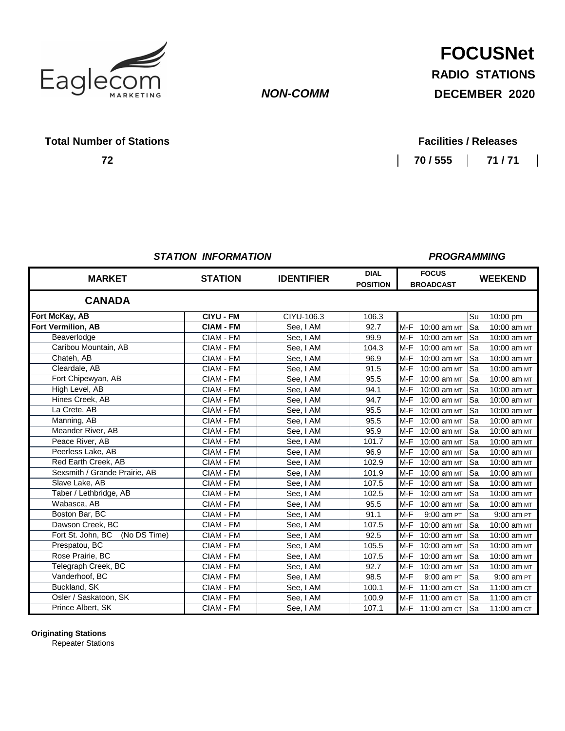

### *NON-COMM*

# **FOCUSNet**

**RADIO STATIONS**

**DECEMBER 2020**

#### **Total Number of Stations**

**72**

**70 / 555 71 / 71**

*PROGRAMMING*

#### *STATION INFORMATION*

#### **DIAL FOCUS POSITION BROADCAST CIYU - FM** CIYU-106.3 106.3 Su 10:00 pm **CIAM - FM** See, I AM | 92.7 | M-F 10:00 am MT | Sa 10:00 am MT CIAM - FM | See, I AM | 99.9 | M-F 10:00 am MT | Sa 10:00 am MT CIAM - FM | See, I AM | 104.3 | M-F 10:00 am MT | Sa 10:00 am MT CIAM - FM See, I AM 96.9 M-F 10:00 am MT Sa 10:00 am MT CIAM - FM | See, I AM | 91.5 | M-F 10:00 am MT | Sa 10:00 am MT CIAM - FM See, I AM 95.5 M-F 10:00 am MT Sa 10:00 am MT CIAM - FM See, I AM 94.1 M-F 10:00 am MT Sa 10:00 am MT CIAM - FM  $\vert$  See, I AM  $\vert$  94.7 M-F 10:00 am  $MT$  Sa 10:00 am  $MT$ CIAM - FM | See, I AM | 95.5 | M-F 10:00 am MT | Sa 10:00 am MT CIAM - FM | See, I AM | 95.5 | M-F 10:00 am MT | Sa 10:00 am MT CIAM - FM See, I AM 95.9 M-F 10:00 am MT Sa 10:00 am MT<br>CIAM - FM See, I AM 101.7 M-F 10:00 am MT Sa 10:00 am MT CIAM - FM | See, I AM | 101.7 | M-F 10:00 am MT | Sa 10:00 am MT CIAM - FM See, I AM 96.9 M-F 10:00 am MT Sa 10:00 am MT CIAM - FM See, I AM 102.9 M-F 10:00 am MT Sa 10:00 am MT CIAM - FM | See, I AM | 101.9 M-F 10:00 am MT Sa 10:00 am MT CIAM - FM See, I AM 107.5 M-F 10:00 am MT Sa 10:00 am MT<br>CIAM - FM See, I AM 102.5 M-F 10:00 am MT Sa 10:00 am MT CIAM - FM | See, I AM | 102.5 | M-F 10:00 am MT | Sa 10:00 am MT  $CIAM$  - FM See, I AM 95.5 M-F 10:00 am  $MT$  Sa 10:00 am  $MT$ CIAM - FM See, I AM 91.1 M-F 9:00 am PT Sa 9:00 am PT CIAM - FM | See, I AM | 107.5 | M-F 10:00 am MT | Sa 10:00 am MT CIAM - FM See, I AM 92.5 M-F 10:00 am MT Sa 10:00 am MT CIAM - FM | See, I AM | 105.5 | M-F 10:00 am MT | Sa 10:00 am MT CIAM - FM See, I AM 107.5 M-F 10:00 am MT Sa 10:00 am MT CIAM - FM | See, I AM | 92.7 | M-F 10:00 am MT | Sa 10:00 am MT CIAM - FM See, I AM 98.5 M-F 9:00 am PT Sa 9:00 am PT CIAM - FM | See, I AM | 100.1 | M-F 11:00 am ct | Sa 11:00 am ct  $CIAM$  - FM See, I AM 100.9 M-F 11:00 am ct  $\begin{bmatrix} Sa & 11:00 \text{ am cr} \end{bmatrix}$ CIAM - FM | See, I AM | 107.1 | M-F 11:00 am ct | Sa 11:00 am ct Buckland, SK Prespatou, BC **Fort Vermilion, AB STATION Fort McKay, AB** Chateh, AB **MARKET** Taber / Lethbridge, AB Rose Prairie, BC Telegraph Creek, BC Osler / Saskatoon, SK Sexsmith / Grande Prairie, AB Boston Bar, BC Caribou Mountain, AB Vanderhoof, BC Prince Albert, SK Fort Chipewyan, AB La Crete, AB High Level, AB Cleardale, AB Hines Creek, AB Peace River, AB Fort St. John, BC (No DS Time) Red Earth Creek, AB **WEEKEND** Meander River, AB Wabasca, AB Dawson Creek, BC Slave Lake, AB Manning, AB Peerless Lake, AB **CANADA Beaverlodge IDENTIFIER**

**Originating Stations**

Repeater Stations